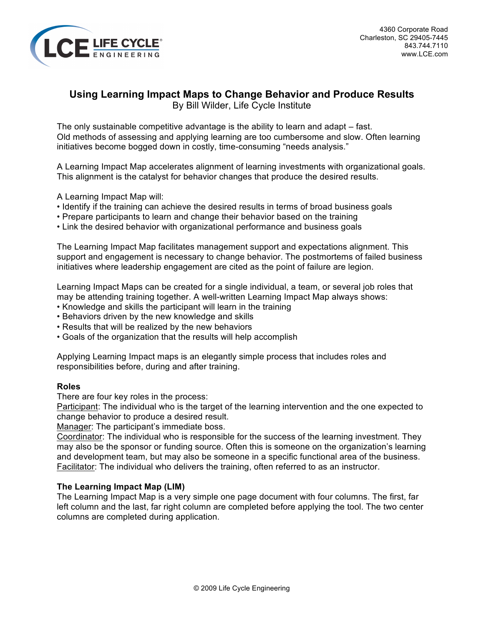

# **Using Learning Impact Maps to Change Behavior and Produce Results**

By Bill Wilder, Life Cycle Institute

The only sustainable competitive advantage is the ability to learn and adapt – fast. Old methods of assessing and applying learning are too cumbersome and slow. Often learning initiatives become bogged down in costly, time-consuming "needs analysis."

A Learning Impact Map accelerates alignment of learning investments with organizational goals. This alignment is the catalyst for behavior changes that produce the desired results.

- A Learning Impact Map will:
- Identify if the training can achieve the desired results in terms of broad business goals
- Prepare participants to learn and change their behavior based on the training
- Link the desired behavior with organizational performance and business goals

The Learning Impact Map facilitates management support and expectations alignment. This support and engagement is necessary to change behavior. The postmortems of failed business initiatives where leadership engagement are cited as the point of failure are legion.

Learning Impact Maps can be created for a single individual, a team, or several job roles that may be attending training together. A well-written Learning Impact Map always shows:

- Knowledge and skills the participant will learn in the training
- Behaviors driven by the new knowledge and skills
- Results that will be realized by the new behaviors
- Goals of the organization that the results will help accomplish

Applying Learning Impact maps is an elegantly simple process that includes roles and responsibilities before, during and after training.

# **Roles**

There are four key roles in the process:

Participant: The individual who is the target of the learning intervention and the one expected to change behavior to produce a desired result.

Manager: The participant's immediate boss.

Coordinator: The individual who is responsible for the success of the learning investment. They may also be the sponsor or funding source. Often this is someone on the organization's learning and development team, but may also be someone in a specific functional area of the business. Facilitator: The individual who delivers the training, often referred to as an instructor.

# **The Learning Impact Map (LIM)**

The Learning Impact Map is a very simple one page document with four columns. The first, far left column and the last, far right column are completed before applying the tool. The two center columns are completed during application.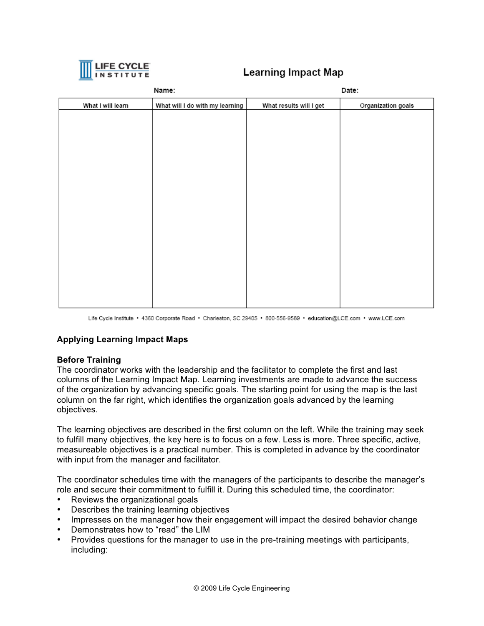

# **Learning Impact Map**

| Name:             |                                 | Date:                   |                    |
|-------------------|---------------------------------|-------------------------|--------------------|
| What I will learn | What will I do with my learning | What results will I get | Organization goals |
|                   |                                 |                         |                    |
|                   |                                 |                         |                    |
|                   |                                 |                         |                    |
|                   |                                 |                         |                    |
|                   |                                 |                         |                    |
|                   |                                 |                         |                    |
|                   |                                 |                         |                    |
|                   |                                 |                         |                    |
|                   |                                 |                         |                    |
|                   |                                 |                         |                    |
|                   |                                 |                         |                    |
|                   |                                 |                         |                    |
|                   |                                 |                         |                    |
|                   |                                 |                         |                    |
|                   |                                 |                         |                    |
|                   |                                 |                         |                    |

Life Cycle Institute · 4360 Corporate Road · Charleston, SC 29405 · 800-556-9589 · education@LCE.com · www.LCE.com

# **Applying Learning Impact Maps**

# **Before Training**

The coordinator works with the leadership and the facilitator to complete the first and last columns of the Learning Impact Map. Learning investments are made to advance the success of the organization by advancing specific goals. The starting point for using the map is the last column on the far right, which identifies the organization goals advanced by the learning objectives.

The learning objectives are described in the first column on the left. While the training may seek to fulfill many objectives, the key here is to focus on a few. Less is more. Three specific, active, measureable objectives is a practical number. This is completed in advance by the coordinator with input from the manager and facilitator.

The coordinator schedules time with the managers of the participants to describe the manager's role and secure their commitment to fulfill it. During this scheduled time, the coordinator:

- Reviews the organizational goals
- Describes the training learning objectives
- Impresses on the manager how their engagement will impact the desired behavior change
- Demonstrates how to "read" the LIM
- Provides questions for the manager to use in the pre-training meetings with participants, including: